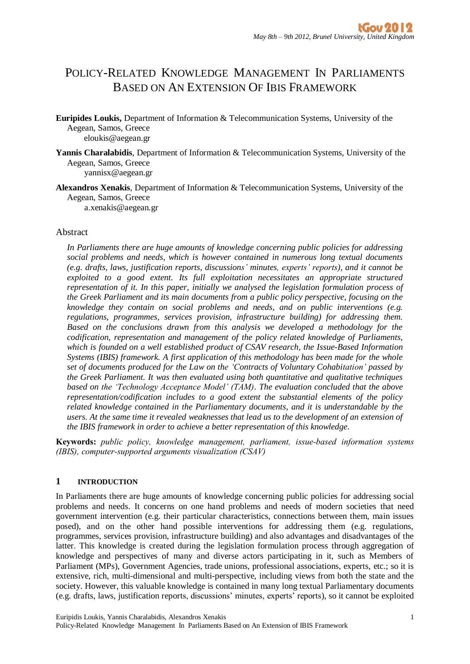# POLICY-RELATED KNOWLEDGE MANAGEMENT IN PARLIAMENTS BASED ON AN EXTENSION OF IBIS FRAMEWORK

- **Euripides Loukis,** Department of Information & Telecommunication Systems, University of the Aegean, Samos, Greece eloukis@aegean.gr
- **Yannis Charalabidis**, Department of Information & Telecommunication Systems, University of the Aegean, Samos, Greece

yannisx@aegean.gr

**Alexandros Xenakis**, Department of Information & Telecommunication Systems, University of the Aegean, Samos, Greece

a.xenakis@aegean.gr

#### Abstract

*In Parliaments there are huge amounts of knowledge concerning public policies for addressing social problems and needs, which is however contained in numerous long textual documents (e.g. drafts, laws, justification reports, discussions' minutes, experts' reports), and it cannot be exploited to a good extent. Its full exploitation necessitates an appropriate structured representation of it. In this paper, initially we analysed the legislation formulation process of the Greek Parliament and its main documents from a public policy perspective, focusing on the knowledge they contain on social problems and needs, and on public interventions (e.g. regulations, programmes, services provision, infrastructure building) for addressing them. Based on the conclusions drawn from this analysis we developed a methodology for the codification, representation and management of the policy related knowledge of Parliaments, which is founded on a well established product of CSAV research, the Issue-Based Information Systems (IBIS) framework. A first application of this methodology has been made for the whole set of documents produced for the Law on the 'Contracts of Voluntary Cohabitation' passed by the Greek Parliament. It was then evaluated using both quantitative and qualitative techniques based on the 'Technology Acceptance Model' (TAM). The evaluation concluded that the above representation/codification includes to a good extent the substantial elements of the policy related knowledge contained in the Parliamentary documents, and it is understandable by the users. At the same time it revealed weaknesses that lead us to the development of an extension of the IBIS framework in order to achieve a better representation of this knowledge.* 

**Keywords:** *public policy, knowledge management, parliament, issue-based information systems (IBIS), computer-supported arguments visualization (CSAV)*

#### **1 INTRODUCTION**

In Parliaments there are huge amounts of knowledge concerning public policies for addressing social problems and needs. It concerns on one hand problems and needs of modern societies that need government intervention (e.g. their particular characteristics, connections between them, main issues posed), and on the other hand possible interventions for addressing them (e.g. regulations, programmes, services provision, infrastructure building) and also advantages and disadvantages of the latter. This knowledge is created during the legislation formulation process through aggregation of knowledge and perspectives of many and diverse actors participating in it, such as Members of Parliament (MPs), Government Agencies, trade unions, professional associations, experts, etc.; so it is extensive, rich, multi-dimensional and multi-perspective, including views from both the state and the society. However, this valuable knowledge is contained in many long textual Parliamentary documents (e.g. drafts, laws, justification reports, discussions' minutes, experts' reports), so it cannot be exploited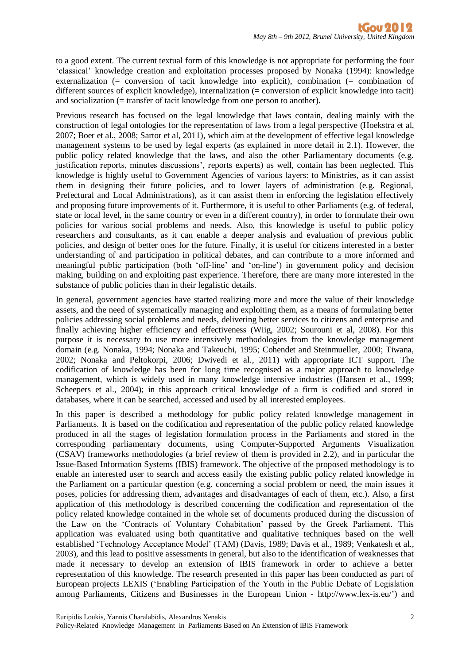to a good extent. The current textual form of this knowledge is not appropriate for performing the four 'classical' knowledge creation and exploitation processes proposed by Nonaka (1994): knowledge externalization (= conversion of tacit knowledge into explicit), combination (= combination of different sources of explicit knowledge), internalization (= conversion of explicit knowledge into tacit) and socialization  $($  = transfer of tacit knowledge from one person to another).

Previous research has focused on the legal knowledge that laws contain, dealing mainly with the construction of legal ontologies for the representation of laws from a legal perspective (Hoekstra et al, 2007; Boer et al., 2008; Sartor et al, 2011), which aim at the development of effective legal knowledge management systems to be used by legal experts (as explained in more detail in 2.1). However, the public policy related knowledge that the laws, and also the other Parliamentary documents (e.g. justification reports, minutes discussions', reports experts) as well, contain has been neglected. This knowledge is highly useful to Government Agencies of various layers: to Ministries, as it can assist them in designing their future policies, and to lower layers of administration (e.g. Regional, Prefectural and Local Administrations), as it can assist them in enforcing the legislation effectively and proposing future improvements of it. Furthermore, it is useful to other Parliaments (e.g. of federal, state or local level, in the same country or even in a different country), in order to formulate their own policies for various social problems and needs. Also, this knowledge is useful to public policy researchers and consultants, as it can enable a deeper analysis and evaluation of previous public policies, and design of better ones for the future. Finally, it is useful for citizens interested in a better understanding of and participation in political debates, and can contribute to a more informed and meaningful public participation (both 'off-line' and 'on-line') in government policy and decision making, building on and exploiting past experience. Therefore, there are many more interested in the substance of public policies than in their legalistic details.

In general, government agencies have started realizing more and more the value of their knowledge assets, and the need of systematically managing and exploiting them, as a means of formulating better policies addressing social problems and needs, delivering better services to citizens and enterprise and finally achieving higher efficiency and effectiveness (Wiig, 2002; Sourouni et al, 2008). For this purpose it is necessary to use more intensively methodologies from the knowledge management domain (e.g. Nonaka, 1994; Nonaka and Takeuchi, 1995; Cohendet and Steinmueller, 2000; Tiwana, 2002; Nonaka and Peltokorpi, 2006; Dwivedi et al., 2011) with appropriate ICT support. The codification of knowledge has been for long time recognised as a major approach to knowledge management, which is widely used in many knowledge intensive industries (Hansen et al., 1999; Scheepers et al., 2004); in this approach critical knowledge of a firm is codified and stored in databases, where it can be searched, accessed and used by all interested employees.

In this paper is described a methodology for public policy related knowledge management in Parliaments. It is based on the codification and representation of the public policy related knowledge produced in all the stages of legislation formulation process in the Parliaments and stored in the corresponding parliamentary documents, using Computer-Supported Arguments Visualization (CSAV) frameworks methodologies (a brief review of them is provided in 2.2), and in particular the Issue-Based Information Systems (IBIS) framework. The objective of the proposed methodology is to enable an interested user to search and access easily the existing public policy related knowledge in the Parliament on a particular question (e.g. concerning a social problem or need, the main issues it poses, policies for addressing them, advantages and disadvantages of each of them, etc.). Also, a first application of this methodology is described concerning the codification and representation of the policy related knowledge contained in the whole set of documents produced during the discussion of the Law on the 'Contracts of Voluntary Cohabitation' passed by the Greek Parliament. This application was evaluated using both quantitative and qualitative techniques based on the well established 'Technology Acceptance Model' (TAM) (Davis, 1989; Davis et al., 1989; Venkatesh et al., 2003), and this lead to positive assessments in general, but also to the identification of weaknesses that made it necessary to develop an extension of IBIS framework in order to achieve a better representation of this knowledge. The research presented in this paper has been conducted as part of European projects LEXIS ('Enabling Participation of the Youth in the Public Debate of Legislation among Parliaments, Citizens and Businesses in the European Union - http://www.lex-is.eu/') and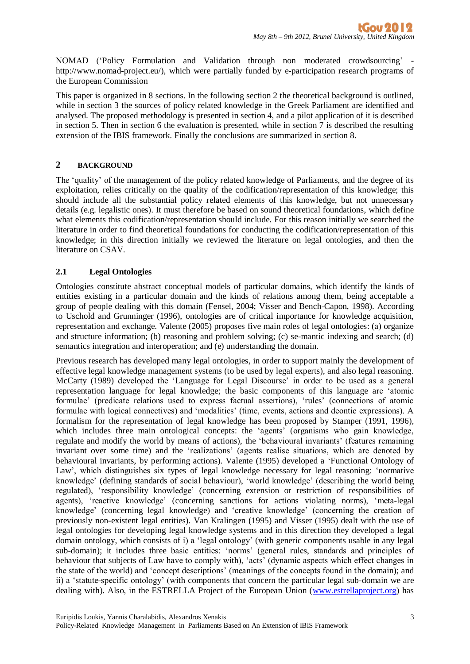NOMAD ('Policy Formulation and Validation through non moderated crowdsourcing' http://www.nomad-project.eu/), which were partially funded by e-participation research programs of the European Commission

This paper is organized in 8 sections. In the following section 2 the theoretical background is outlined, while in section 3 the sources of policy related knowledge in the Greek Parliament are identified and analysed. The proposed methodology is presented in section 4, and a pilot application of it is described in section 5. Then in section 6 the evaluation is presented, while in section 7 is described the resulting extension of the IBIS framework. Finally the conclusions are summarized in section 8.

## **2 BACKGROUND**

The 'quality' of the management of the policy related knowledge of Parliaments, and the degree of its exploitation, relies critically on the quality of the codification/representation of this knowledge; this should include all the substantial policy related elements of this knowledge, but not unnecessary details (e.g. legalistic ones). It must therefore be based on sound theoretical foundations, which define what elements this codification/representation should include. For this reason initially we searched the literature in order to find theoretical foundations for conducting the codification/representation of this knowledge; in this direction initially we reviewed the literature on legal ontologies, and then the literature on CSAV.

## **2.1 Legal Ontologies**

Ontologies constitute abstract conceptual models of particular domains, which identify the kinds of entities existing in a particular domain and the kinds of relations among them, being acceptable a group of people dealing with this domain (Fensel, 2004; Visser and Bench-Capon, 1998). According to Uschold and Grunninger (1996), ontologies are of critical importance for knowledge acquisition, representation and exchange. Valente (2005) proposes five main roles of legal ontologies: (a) organize and structure information; (b) reasoning and problem solving; (c) se-mantic indexing and search; (d) semantics integration and interoperation; and (e) understanding the domain.

Previous research has developed many legal ontologies, in order to support mainly the development of effective legal knowledge management systems (to be used by legal experts), and also legal reasoning. McCarty (1989) developed the 'Language for Legal Discourse' in order to be used as a general representation language for legal knowledge; the basic components of this language are 'atomic formulae' (predicate relations used to express factual assertions), 'rules' (connections of atomic formulae with logical connectives) and 'modalities' (time, events, actions and deontic expressions). A formalism for the representation of legal knowledge has been proposed by Stamper (1991, 1996), which includes three main ontological concepts: the 'agents' (organisms who gain knowledge, regulate and modify the world by means of actions), the 'behavioural invariants' (features remaining invariant over some time) and the 'realizations' (agents realise situations, which are denoted by behavioural invariants, by performing actions). Valente (1995) developed a 'Functional Ontology of Law', which distinguishes six types of legal knowledge necessary for legal reasoning: 'normative knowledge' (defining standards of social behaviour), 'world knowledge' (describing the world being regulated), 'responsibility knowledge' (concerning extension or restriction of responsibilities of agents), 'reactive knowledge' (concerning sanctions for actions violating norms), 'meta-legal knowledge' (concerning legal knowledge) and 'creative knowledge' (concerning the creation of previously non-existent legal entities). Van Kralingen (1995) and Visser (1995) dealt with the use of legal ontologies for developing legal knowledge systems and in this direction they developed a legal domain ontology, which consists of i) a 'legal ontology' (with generic components usable in any legal sub-domain); it includes three basic entities: 'norms' (general rules, standards and principles of behaviour that subjects of Law have to comply with), 'acts' (dynamic aspects which effect changes in the state of the world) and 'concept descriptions' (meanings of the concepts found in the domain); and ii) a 'statute-specific ontology' (with components that concern the particular legal sub-domain we are dealing with). Also, in the ESTRELLA Project of the European Union [\(www.estrellaproject.org\)](http://www.estrellaproject.org/) has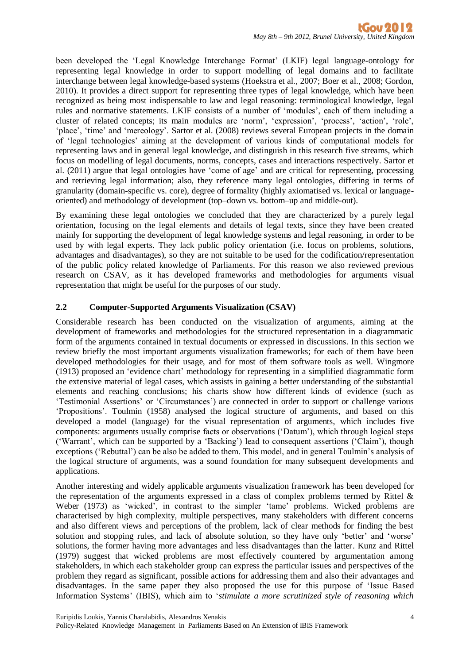been developed the 'Legal Knowledge Interchange Format' (LKIF) legal language-ontology for representing legal knowledge in order to support modelling of legal domains and to facilitate interchange between legal knowledge-based systems (Hoekstra et al., 2007; Boer et al., 2008; Gordon, 2010). It provides a direct support for representing three types of legal knowledge, which have been recognized as being most indispensable to law and legal reasoning: terminological knowledge, legal rules and normative statements. LKIF consists of a number of 'modules', each of them including a cluster of related concepts; its main modules are 'norm', 'expression', 'process', 'action', 'role', 'place', 'time' and 'mereology'. Sartor et al. (2008) reviews several European projects in the domain of 'legal technologies' aiming at the development of various kinds of computational models for representing laws and in general legal knowledge, and distinguish in this research five streams, which focus on modelling of legal documents, norms, concepts, cases and interactions respectively. Sartor et al. (2011) argue that legal ontologies have 'come of age' and are critical for representing, processing and retrieving legal information; also, they reference many legal ontologies, differing in terms of granularity (domain-specific vs. core), degree of formality (highly axiomatised vs. lexical or languageoriented) and methodology of development (top–down vs. bottom–up and middle-out).

By examining these legal ontologies we concluded that they are characterized by a purely legal orientation, focusing on the legal elements and details of legal texts, since they have been created mainly for supporting the development of legal knowledge systems and legal reasoning, in order to be used by with legal experts. They lack public policy orientation (i.e. focus on problems, solutions, advantages and disadvantages), so they are not suitable to be used for the codification/representation of the public policy related knowledge of Parliaments. For this reason we also reviewed previous research on CSAV, as it has developed frameworks and methodologies for arguments visual representation that might be useful for the purposes of our study.

## **2.2 Computer-Supported Arguments Visualization (CSAV)**

Considerable research has been conducted on the visualization of arguments, aiming at the development of frameworks and methodologies for the structured representation in a diagrammatic form of the arguments contained in textual documents or expressed in discussions. In this section we review briefly the most important arguments visualization frameworks; for each of them have been developed methodologies for their usage, and for most of them software tools as well. Wingmore (1913) proposed an 'evidence chart' methodology for representing in a simplified diagrammatic form the extensive material of legal cases, which assists in gaining a better understanding of the substantial elements and reaching conclusions; his charts show how different kinds of evidence (such as 'Testimonial Assertions' or 'Circumstances') are connected in order to support or challenge various 'Propositions'. Toulmin (1958) analysed the logical structure of arguments, and based on this developed a model (language) for the visual representation of arguments, which includes five components: arguments usually comprise facts or observations ('Datum'), which through logical steps ('Warrant', which can be supported by a 'Backing') lead to consequent assertions ('Claim'), though exceptions ('Rebuttal') can be also be added to them. This model, and in general Toulmin's analysis of the logical structure of arguments, was a sound foundation for many subsequent developments and applications.

Another interesting and widely applicable arguments visualization framework has been developed for the representation of the arguments expressed in a class of complex problems termed by Rittel & Weber (1973) as 'wicked', in contrast to the simpler 'tame' problems. Wicked problems are characterised by high complexity, multiple perspectives, many stakeholders with different concerns and also different views and perceptions of the problem, lack of clear methods for finding the best solution and stopping rules, and lack of absolute solution, so they have only 'better' and 'worse' solutions, the former having more advantages and less disadvantages than the latter. Kunz and Rittel (1979) suggest that wicked problems are most effectively countered by argumentation among stakeholders, in which each stakeholder group can express the particular issues and perspectives of the problem they regard as significant, possible actions for addressing them and also their advantages and disadvantages. In the same paper they also proposed the use for this purpose of 'Issue Based Information Systems' (IBIS), which aim to '*stimulate a more scrutinized style of reasoning which*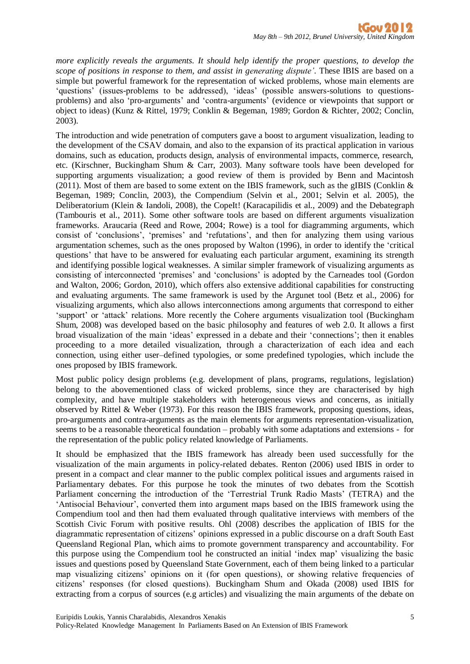*more explicitly reveals the arguments. It should help identify the proper questions, to develop the scope of positions in response to them, and assist in generating dispute'*. These IBIS are based on a simple but powerful framework for the representation of wicked problems, whose main elements are 'questions' (issues-problems to be addressed), 'ideas' (possible answers-solutions to questionsproblems) and also 'pro-arguments' and 'contra-arguments' (evidence or viewpoints that support or object to ideas) (Kunz & Rittel, 1979; Conklin & Begeman, 1989; Gordon & Richter, 2002; Conclin, 2003).

The introduction and wide penetration of computers gave a boost to argument visualization, leading to the development of the CSAV domain, and also to the expansion of its practical application in various domains, such as education, products design, analysis of environmental impacts, commerce, research, etc. (Kirschner, Buckingham Shum & Carr, 2003). Many software tools have been developed for supporting arguments visualization; a good review of them is provided by Benn and Macintosh (2011). Most of them are based to some extent on the IBIS framework, such as the gIBIS (Conklin & Begeman, 1989; Conclin, 2003), the Compendium (Selvin et al., 2001; Selvin et al. 2005), the Deliberatorium (Klein & Iandoli, 2008), the CopeIt! (Karacapilidis et al., 2009) and the Debategraph (Tambouris et al., 2011). Some other software tools are based on different arguments visualization frameworks. Araucaria (Reed and Rowe, 2004; Rowe) is a tool for diagramming arguments, which consist of 'conclusions', 'premises' and 'refutations', and then for analyzing them using various argumentation schemes, such as the ones proposed by Walton (1996), in order to identify the 'critical questions' that have to be answered for evaluating each particular argument, examining its strength and identifying possible logical weaknesses. A similar simpler framework of visualizing arguments as consisting of interconnected 'premises' and 'conclusions' is adopted by the Carneades tool (Gordon and Walton, 2006; Gordon, 2010), which offers also extensive additional capabilities for constructing and evaluating arguments. The same framework is used by the Argunet tool (Betz et al., 2006) for visualizing arguments, which also allows interconnections among arguments that correspond to either 'support' or 'attack' relations. More recently the Cohere arguments visualization tool (Buckingham Shum, 2008) was developed based on the basic philosophy and features of web 2.0. It allows a first broad visualization of the main 'ideas' expressed in a debate and their 'connections'; then it enables proceeding to a more detailed visualization, through a characterization of each idea and each connection, using either user–defined typologies, or some predefined typologies, which include the ones proposed by IBIS framework.

Most public policy design problems (e.g. development of plans, programs, regulations, legislation) belong to the abovementioned class of wicked problems, since they are characterised by high complexity, and have multiple stakeholders with heterogeneous views and concerns, as initially observed by Rittel & Weber (1973). For this reason the IBIS framework, proposing questions, ideas, pro-arguments and contra-arguments as the main elements for arguments representation-visualization, seems to be a reasonable theoretical foundation – probably with some adaptations and extensions - for the representation of the public policy related knowledge of Parliaments.

It should be emphasized that the IBIS framework has already been used successfully for the visualization of the main arguments in policy-related debates. Renton (2006) used IBIS in order to present in a compact and clear manner to the public complex political issues and arguments raised in Parliamentary debates. For this purpose he took the minutes of two debates from the Scottish Parliament concerning the introduction of the 'Terrestrial Trunk Radio Masts' (TETRA) and the 'Antisocial Behaviour', converted them into argument maps based on the IBIS framework using the Compendium tool and then had them evaluated through qualitative interviews with members of the Scottish Civic Forum with positive results. Ohl (2008) describes the application of IBIS for the diagrammatic representation of citizens' opinions expressed in a public discourse on a draft South East Queensland Regional Plan, which aims to promote government transparency and accountability. For this purpose using the Compendium tool he constructed an initial 'index map' visualizing the basic issues and questions posed by Queensland State Government, each of them being linked to a particular map visualizing citizens' opinions on it (for open questions), or showing relative frequencies of citizens' responses (for closed questions). Buckingham Shum and Okada (2008) used IBIS for extracting from a corpus of sources (e.g articles) and visualizing the main arguments of the debate on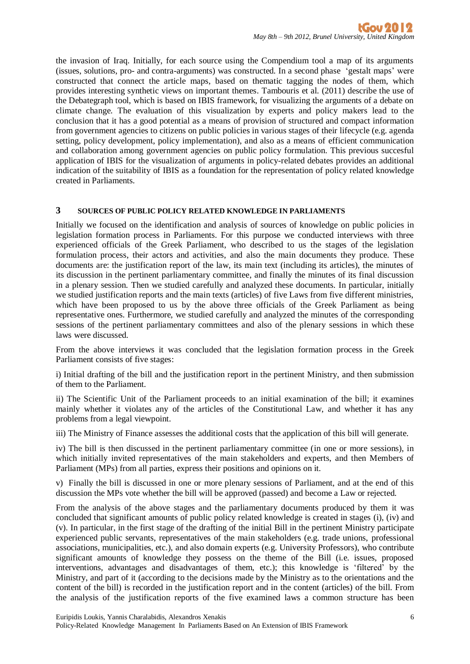the invasion of Iraq. Initially, for each source using the Compendium tool a map of its arguments (issues, solutions, pro- and contra-arguments) was constructed. In a second phase 'gestalt maps' were constructed that connect the article maps, based on thematic tagging the nodes of them, which provides interesting synthetic views on important themes. Tambouris et al. (2011) describe the use of the Debategraph tool, which is based on IBIS framework, for visualizing the arguments of a debate on climate change. The evaluation of this visualization by experts and policy makers lead to the conclusion that it has a good potential as a means of provision of structured and compact information from government agencies to citizens on public policies in various stages of their lifecycle (e.g. agenda setting, policy development, policy implementation), and also as a means of efficient communication and collaboration among government agencies on public policy formulation. This previous succesful application of IBIS for the visualization of arguments in policy-related debates provides an additional indication of the suitability of IBIS as a foundation for the representation of policy related knowledge created in Parliaments.

#### **3 SOURCES OF PUBLIC POLICY RELATED KNOWLEDGE IN PARLIAMENTS**

Initially we focused on the identification and analysis of sources of knowledge on public policies in legislation formation process in Parliaments. For this purpose we conducted interviews with three experienced officials of the Greek Parliament, who described to us the stages of the legislation formulation process, their actors and activities, and also the main documents they produce. These documents are: the justification report of the law, its main text (including its articles), the minutes of its discussion in the pertinent parliamentary committee, and finally the minutes of its final discussion in a plenary session. Then we studied carefully and analyzed these documents. In particular, initially we studied justification reports and the main texts (articles) of five Laws from five different ministries, which have been proposed to us by the above three officials of the Greek Parliament as being representative ones. Furthermore, we studied carefully and analyzed the minutes of the corresponding sessions of the pertinent parliamentary committees and also of the plenary sessions in which these laws were discussed.

From the above interviews it was concluded that the legislation formation process in the Greek Parliament consists of five stages:

i) Initial drafting of the bill and the justification report in the pertinent Ministry, and then submission of them to the Parliament.

ii) The Scientific Unit of the Parliament proceeds to an initial examination of the bill; it examines mainly whether it violates any of the articles of the Constitutional Law, and whether it has any problems from a legal viewpoint.

iii) The Ministry of Finance assesses the additional costs that the application of this bill will generate.

iv) The bill is then discussed in the pertinent parliamentary committee (in one or more sessions), in which initially invited representatives of the main stakeholders and experts, and then Members of Parliament (MPs) from all parties, express their positions and opinions on it.

v) Finally the bill is discussed in one or more plenary sessions of Parliament, and at the end of this discussion the MPs vote whether the bill will be approved (passed) and become a Law or rejected.

From the analysis of the above stages and the parliamentary documents produced by them it was concluded that significant amounts of public policy related knowledge is created in stages (i), (iv) and (v). In particular, in the first stage of the drafting of the initial Bill in the pertinent Ministry participate experienced public servants, representatives of the main stakeholders (e.g. trade unions, professional associations, municipalities, etc.), and also domain experts (e.g. University Professors), who contribute significant amounts of knowledge they possess on the theme of the Bill (i.e. issues, proposed interventions, advantages and disadvantages of them, etc.); this knowledge is 'filtered' by the Ministry, and part of it (according to the decisions made by the Ministry as to the orientations and the content of the bill) is recorded in the justification report and in the content (articles) of the bill. From the analysis of the justification reports of the five examined laws a common structure has been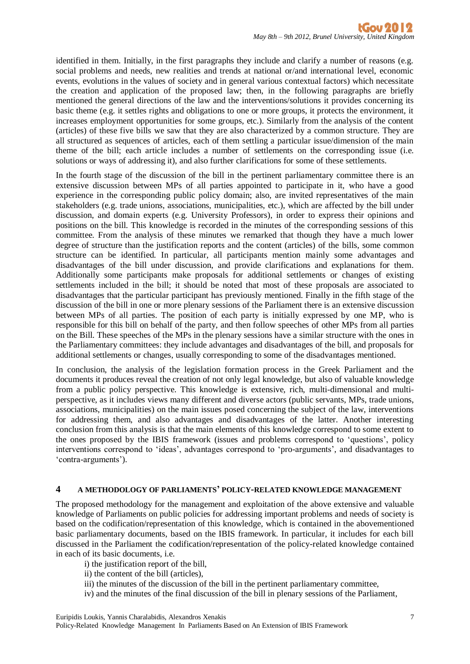identified in them. Initially, in the first paragraphs they include and clarify a number of reasons (e.g. social problems and needs, new realities and trends at national or/and international level, economic events, evolutions in the values of society and in general various contextual factors) which necessitate the creation and application of the proposed law; then, in the following paragraphs are briefly mentioned the general directions of the law and the interventions/solutions it provides concerning its basic theme (e.g. it settles rights and obligations to one or more groups, it protects the environment, it increases employment opportunities for some groups, etc.). Similarly from the analysis of the content (articles) of these five bills we saw that they are also characterized by a common structure. They are all structured as sequences of articles, each of them settling a particular issue/dimension of the main theme of the bill; each article includes a number of settlements on the corresponding issue (i.e. solutions or ways of addressing it), and also further clarifications for some of these settlements.

In the fourth stage of the discussion of the bill in the pertinent parliamentary committee there is an extensive discussion between MPs of all parties appointed to participate in it, who have a good experience in the corresponding public policy domain; also, are invited representatives of the main stakeholders (e.g. trade unions, associations, municipalities, etc.), which are affected by the bill under discussion, and domain experts (e.g. University Professors), in order to express their opinions and positions on the bill. This knowledge is recorded in the minutes of the corresponding sessions of this committee. From the analysis of these minutes we remarked that though they have a much lower degree of structure than the justification reports and the content (articles) of the bills, some common structure can be identified. In particular, all participants mention mainly some advantages and disadvantages of the bill under discussion, and provide clarifications and explanations for them. Additionally some participants make proposals for additional settlements or changes of existing settlements included in the bill; it should be noted that most of these proposals are associated to disadvantages that the particular participant has previously mentioned. Finally in the fifth stage of the discussion of the bill in one or more plenary sessions of the Parliament there is an extensive discussion between MPs of all parties. The position of each party is initially expressed by one MP, who is responsible for this bill on behalf of the party, and then follow speeches of other MPs from all parties on the Bill. These speeches of the MPs in the plenary sessions have a similar structure with the ones in the Parliamentary committees: they include advantages and disadvantages of the bill, and proposals for additional settlements or changes, usually corresponding to some of the disadvantages mentioned.

In conclusion, the analysis of the legislation formation process in the Greek Parliament and the documents it produces reveal the creation of not only legal knowledge, but also of valuable knowledge from a public policy perspective. This knowledge is extensive, rich, multi-dimensional and multiperspective, as it includes views many different and diverse actors (public servants, MPs, trade unions, associations, municipalities) on the main issues posed concerning the subject of the law, interventions for addressing them, and also advantages and disadvantages of the latter. Another interesting conclusion from this analysis is that the main elements of this knowledge correspond to some extent to the ones proposed by the IBIS framework (issues and problems correspond to 'questions', policy interventions correspond to 'ideas', advantages correspond to 'pro-arguments', and disadvantages to 'contra-arguments').

#### **4 A METHODOLOGY OF PARLIAMENTS' POLICY-RELATED KNOWLEDGE MANAGEMENT**

The proposed methodology for the management and exploitation of the above extensive and valuable knowledge of Parliaments on public policies for addressing important problems and needs of society is based on the codification/representation of this knowledge, which is contained in the abovementioned basic parliamentary documents, based on the IBIS framework. In particular, it includes for each bill discussed in the Parliament the codification/representation of the policy-related knowledge contained in each of its basic documents, i.e.

- i) the justification report of the bill,
- ii) the content of the bill (articles),
- iii) the minutes of the discussion of the bill in the pertinent parliamentary committee,
- iv) and the minutes of the final discussion of the bill in plenary sessions of the Parliament,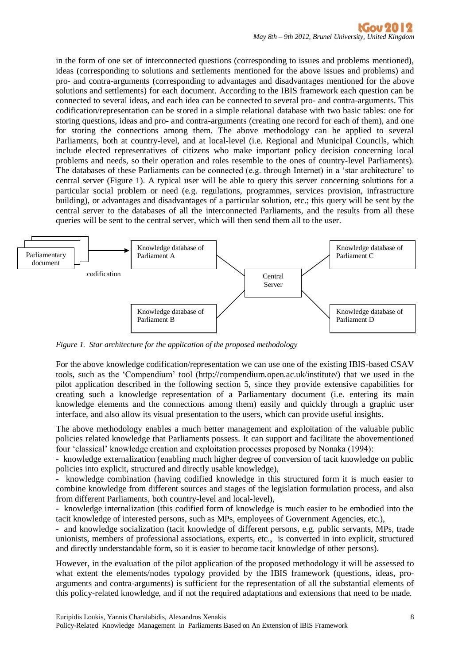in the form of one set of interconnected questions (corresponding to issues and problems mentioned), ideas (corresponding to solutions and settlements mentioned for the above issues and problems) and pro- and contra-arguments (corresponding to advantages and disadvantages mentioned for the above solutions and settlements) for each document. According to the IBIS framework each question can be connected to several ideas, and each idea can be connected to several pro- and contra-arguments. This codification/representation can be stored in a simple relational database with two basic tables: one for storing questions, ideas and pro- and contra-arguments (creating one record for each of them), and one for storing the connections among them. The above methodology can be applied to several Parliaments, both at country-level, and at local-level (i.e. Regional and Municipal Councils, which include elected representatives of citizens who make important policy decision concerning local problems and needs, so their operation and roles resemble to the ones of country-level Parliaments). The databases of these Parliaments can be connected (e.g. through Internet) in a 'star architecture' to central server (Figure 1). A typical user will be able to query this server concerning solutions for a particular social problem or need (e.g. regulations, programmes, services provision, infrastructure building), or advantages and disadvantages of a particular solution, etc.; this query will be sent by the central server to the databases of all the interconnected Parliaments, and the results from all these queries will be sent to the central server, which will then send them all to the user.



*Figure 1. Star architecture for the application of the proposed methodology*

For the above knowledge codification/representation we can use one of the existing IBIS-based CSAV tools, such as the 'Compendium' tool (http://compendium.open.ac.uk/institute/) that we used in the pilot application described in the following section 5, since they provide extensive capabilities for creating such a knowledge representation of a Parliamentary document (i.e. entering its main knowledge elements and the connections among them) easily and quickly through a graphic user interface, and also allow its visual presentation to the users, which can provide useful insights.

The above methodology enables a much better management and exploitation of the valuable public policies related knowledge that Parliaments possess. It can support and facilitate the abovementioned four 'classical' knowledge creation and exploitation processes proposed by Nonaka (1994):

- knowledge externalization (enabling much higher degree of conversion of tacit knowledge on public policies into explicit, structured and directly usable knowledge),

- knowledge combination (having codified knowledge in this structured form it is much easier to combine knowledge from different sources and stages of the legislation formulation process, and also from different Parliaments, both country-level and local-level),

- knowledge internalization (this codified form of knowledge is much easier to be embodied into the tacit knowledge of interested persons, such as MPs, employees of Government Agencies, etc.),

- and knowledge socialization (tacit knowledge of different persons, e.g. public servants, MPs, trade unionists, members of professional associations, experts, etc., is converted in into explicit, structured and directly understandable form, so it is easier to become tacit knowledge of other persons).

However, in the evaluation of the pilot application of the proposed methodology it will be assessed to what extent the elements/nodes typology provided by the IBIS framework (questions, ideas, proarguments and contra-arguments) is sufficient for the representation of all the substantial elements of this policy-related knowledge, and if not the required adaptations and extensions that need to be made.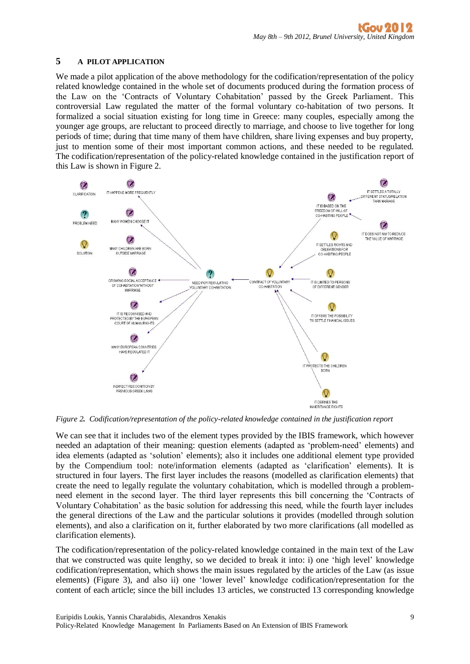#### **5 A PILOT APPLICATION**

We made a pilot application of the above methodology for the codification/representation of the policy related knowledge contained in the whole set of documents produced during the formation process of the Law on the 'Contracts of Voluntary Cohabitation' passed by the Greek Parliament. This controversial Law regulated the matter of the formal voluntary co-habitation of two persons. It formalized a social situation existing for long time in Greece: many couples, especially among the younger age groups, are reluctant to proceed directly to marriage, and choose to live together for long periods of time; during that time many of them have children, share living expenses and buy property, just to mention some of their most important common actions, and these needed to be regulated. The codification/representation of the policy-related knowledge contained in the justification report of this Law is shown in Figure 2.



*Figure 2. Codification/representation of the policy-related knowledge contained in the justification report*

We can see that it includes two of the element types provided by the IBIS framework, which however needed an adaptation of their meaning: question elements (adapted as 'problem-need' elements) and idea elements (adapted as 'solution' elements); also it includes one additional element type provided by the Compendium tool: note/information elements (adapted as 'clarification' elements). It is structured in four layers. The first layer includes the reasons (modelled as clarification elements) that create the need to legally regulate the voluntary cohabitation, which is modelled through a problemneed element in the second layer. The third layer represents this bill concerning the 'Contracts of Voluntary Cohabitation' as the basic solution for addressing this need, while the fourth layer includes the general directions of the Law and the particular solutions it provides (modelled through solution elements), and also a clarification on it, further elaborated by two more clarifications (all modelled as clarification elements).

The codification/representation of the policy-related knowledge contained in the main text of the Law that we constructed was quite lengthy, so we decided to break it into: i) one 'high level' knowledge codification/representation, which shows the main issues regulated by the articles of the Law (as issue elements) (Figure 3), and also ii) one 'lower level' knowledge codification/representation for the content of each article; since the bill includes 13 articles, we constructed 13 corresponding knowledge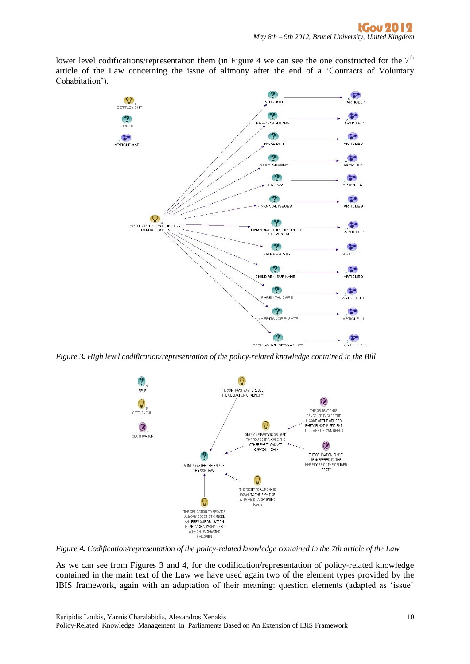lower level codifications/representation them (in Figure 4 we can see the one constructed for the  $7<sup>th</sup>$ article of the Law concerning the issue of alimony after the end of a 'Contracts of Voluntary Cohabitation').



*Figure 3. High level codification/representation of the policy-related knowledge contained in the Bill*



*Figure 4. Codification/representation of the policy-related knowledge contained in the 7th article of the Law*

As we can see from Figures 3 and 4, for the codification/representation of policy-related knowledge contained in the main text of the Law we have used again two of the element types provided by the IBIS framework, again with an adaptation of their meaning: question elements (adapted as 'issue'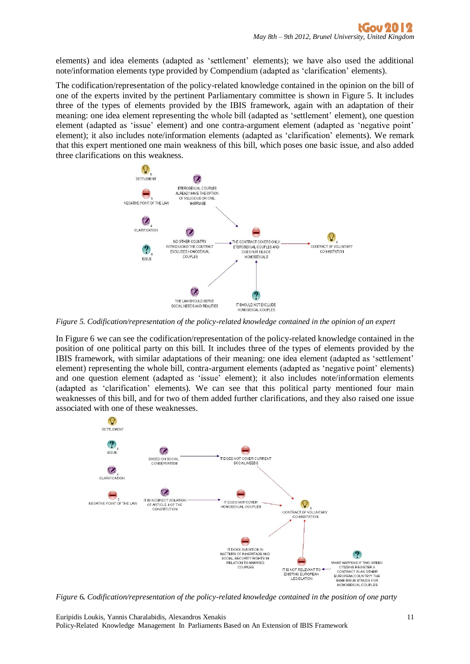elements) and idea elements (adapted as 'settlement' elements); we have also used the additional note/information elements type provided by Compendium (adapted as 'clarification' elements).

The codification/representation of the policy-related knowledge contained in the opinion on the bill of one of the experts invited by the pertinent Parliamentary committee is shown in Figure 5. It includes three of the types of elements provided by the IBIS framework, again with an adaptation of their meaning: one idea element representing the whole bill (adapted as 'settlement' element), one question element (adapted as 'issue' element) and one contra-argument element (adapted as 'negative point' element); it also includes note/information elements (adapted as 'clarification' elements). We remark that this expert mentioned one main weakness of this bill, which poses one basic issue, and also added three clarifications on this weakness.



*Figure 5. Codification/representation of the policy-related knowledge contained in the opinion of an expert*

In Figure 6 we can see the codification/representation of the policy-related knowledge contained in the position of one political party on this bill. It includes three of the types of elements provided by the IBIS framework, with similar adaptations of their meaning: one idea element (adapted as 'settlement' element) representing the whole bill, contra-argument elements (adapted as 'negative point' elements) and one question element (adapted as 'issue' element); it also includes note/information elements (adapted as 'clarification' elements). We can see that this political party mentioned four main weaknesses of this bill, and for two of them added further clarifications, and they also raised one issue associated with one of these weaknesses.



*Figure 6. Codification/representation of the policy-related knowledge contained in the position of one party*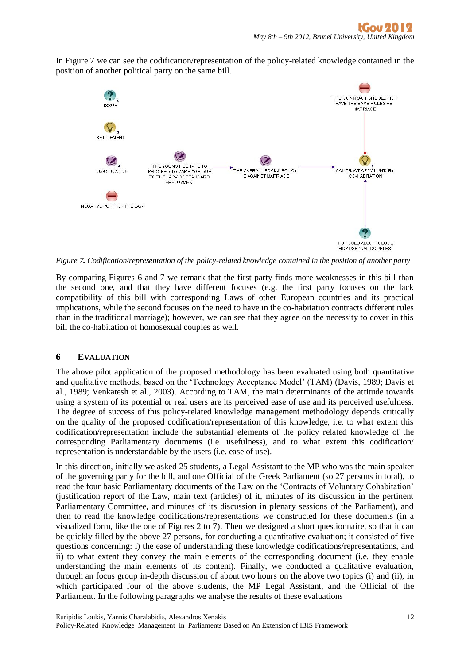In Figure 7 we can see the codification/representation of the policy-related knowledge contained in the position of another political party on the same bill.



*Figure 7. Codification/representation of the policy-related knowledge contained in the position of another party*

By comparing Figures 6 and 7 we remark that the first party finds more weaknesses in this bill than the second one, and that they have different focuses (e.g. the first party focuses on the lack compatibility of this bill with corresponding Laws of other European countries and its practical implications, while the second focuses on the need to have in the co-habitation contracts different rules than in the traditional marriage); however, we can see that they agree on the necessity to cover in this bill the co-habitation of homosexual couples as well.

## **6 EVALUATION**

The above pilot application of the proposed methodology has been evaluated using both quantitative and qualitative methods, based on the 'Technology Acceptance Model' (TAM) (Davis, 1989; Davis et al., 1989; Venkatesh et al., 2003). According to TAM, the main determinants of the attitude towards using a system of its potential or real users are its perceived ease of use and its perceived usefulness. The degree of success of this policy-related knowledge management methodology depends critically on the quality of the proposed codification/representation of this knowledge, i.e. to what extent this codification/representation include the substantial elements of the policy related knowledge of the corresponding Parliamentary documents (i.e. usefulness), and to what extent this codification/ representation is understandable by the users (i.e. ease of use).

In this direction, initially we asked 25 students, a Legal Assistant to the MP who was the main speaker of the governing party for the bill, and one Official of the Greek Parliament (so 27 persons in total), to read the four basic Parliamentary documents of the Law on the 'Contracts of Voluntary Cohabitation' (justification report of the Law, main text (articles) of it, minutes of its discussion in the pertinent Parliamentary Committee, and minutes of its discussion in plenary sessions of the Parliament), and then to read the knowledge codifications/representations we constructed for these documents (in a visualized form, like the one of Figures 2 to 7). Then we designed a short questionnaire, so that it can be quickly filled by the above 27 persons, for conducting a quantitative evaluation; it consisted of five questions concerning: i) the ease of understanding these knowledge codifications/representations, and ii) to what extent they convey the main elements of the corresponding document (i.e. they enable understanding the main elements of its content). Finally, we conducted a qualitative evaluation, through an focus group in-depth discussion of about two hours on the above two topics (i) and (ii), in which participated four of the above students, the MP Legal Assistant, and the Official of the Parliament. In the following paragraphs we analyse the results of these evaluations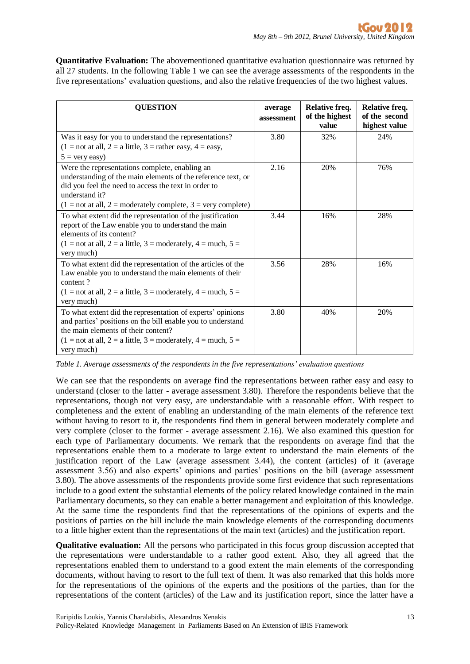**Quantitative Evaluation:** The abovementioned quantitative evaluation questionnaire was returned by all 27 students. In the following Table 1 we can see the average assessments of the respondents in the five representations' evaluation questions, and also the relative frequencies of the two highest values.

| <b>QUESTION</b>                                                                                                                                                                                                                                            | average<br>assessment | Relative freq.<br>of the highest<br>value | Relative freq.<br>of the second<br>highest value |
|------------------------------------------------------------------------------------------------------------------------------------------------------------------------------------------------------------------------------------------------------------|-----------------------|-------------------------------------------|--------------------------------------------------|
| Was it easy for you to understand the representations?<br>$(1 = not at all, 2 = a little, 3 = rather easy, 4 = easy,$<br>$5 = \text{very easy}$ )                                                                                                          | 3.80                  | 32%                                       | 24%                                              |
| Were the representations complete, enabling an<br>understanding of the main elements of the reference text, or<br>did you feel the need to access the text in order to<br>understand it?<br>$(1 = not at all, 2 = moderately complete, 3 = very complete)$ | 2.16                  | 20%                                       | 76%                                              |
| To what extent did the representation of the justification<br>report of the Law enable you to understand the main<br>elements of its content?<br>$(1 = not at all, 2 = a little, 3 = moderately, 4 = much, 5 =$<br>very much)                              | 3.44                  | 16%                                       | 28%                                              |
| To what extent did the representation of the articles of the<br>Law enable you to understand the main elements of their<br>content?<br>$(1 = not at all, 2 = a little, 3 = moderately, 4 = much, 5 =$<br>very much)                                        | 3.56                  | 28%                                       | 16%                                              |
| To what extent did the representation of experts' opinions<br>and parties' positions on the bill enable you to understand<br>the main elements of their content?<br>$(1 = not at all, 2 = a little, 3 = moderately, 4 = much, 5 =$<br>very much)           | 3.80                  | 40%                                       | 20%                                              |

*Table 1. Average assessments of the respondents in the five representations' evaluation questions*

We can see that the respondents on average find the representations between rather easy and easy to understand (closer to the latter - average assessment 3.80). Therefore the respondents believe that the representations, though not very easy, are understandable with a reasonable effort. With respect to completeness and the extent of enabling an understanding of the main elements of the reference text without having to resort to it, the respondents find them in general between moderately complete and very complete (closer to the former - average assessment 2.16). We also examined this question for each type of Parliamentary documents. We remark that the respondents on average find that the representations enable them to a moderate to large extent to understand the main elements of the justification report of the Law (average assessment 3.44), the content (articles) of it (average assessment 3.56) and also experts' opinions and parties' positions on the bill (average assessment 3.80). The above assessments of the respondents provide some first evidence that such representations include to a good extent the substantial elements of the policy related knowledge contained in the main Parliamentary documents, so they can enable a better management and exploitation of this knowledge. At the same time the respondents find that the representations of the opinions of experts and the positions of parties on the bill include the main knowledge elements of the corresponding documents to a little higher extent than the representations of the main text (articles) and the justification report.

**Qualitative evaluation:** All the persons who participated in this focus group discussion accepted that the representations were understandable to a rather good extent. Also, they all agreed that the representations enabled them to understand to a good extent the main elements of the corresponding documents, without having to resort to the full text of them. It was also remarked that this holds more for the representations of the opinions of the experts and the positions of the parties, than for the representations of the content (articles) of the Law and its justification report, since the latter have a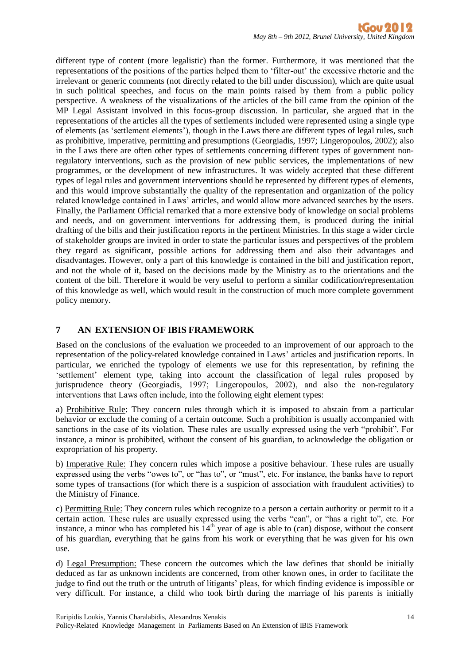different type of content (more legalistic) than the former. Furthermore, it was mentioned that the representations of the positions of the parties helped them to 'filter-out' the excessive rhetoric and the irrelevant or generic comments (not directly related to the bill under discussion), which are quite usual in such political speeches, and focus on the main points raised by them from a public policy perspective. A weakness of the visualizations of the articles of the bill came from the opinion of the MP Legal Assistant involved in this focus-group discussion. In particular, she argued that in the representations of the articles all the types of settlements included were represented using a single type of elements (as 'settlement elements'), though in the Laws there are different types of legal rules, such as prohibitive, imperative, permitting and presumptions (Georgiadis, 1997; Lingeropoulos, 2002); also in the Laws there are often other types of settlements concerning different types of government nonregulatory interventions, such as the provision of new public services, the implementations of new programmes, or the development of new infrastructures. It was widely accepted that these different types of legal rules and government interventions should be represented by different types of elements, and this would improve substantially the quality of the representation and organization of the policy related knowledge contained in Laws' articles, and would allow more advanced searches by the users. Finally, the Parliament Official remarked that a more extensive body of knowledge on social problems and needs, and on government interventions for addressing them, is produced during the initial drafting of the bills and their justification reports in the pertinent Ministries. In this stage a wider circle of stakeholder groups are invited in order to state the particular issues and perspectives of the problem they regard as significant, possible actions for addressing them and also their advantages and disadvantages. However, only a part of this knowledge is contained in the bill and justification report, and not the whole of it, based on the decisions made by the Ministry as to the orientations and the content of the bill. Therefore it would be very useful to perform a similar codification/representation of this knowledge as well, which would result in the construction of much more complete government policy memory.

## **7 AN EXTENSION OF IBIS FRAMEWORK**

Based on the conclusions of the evaluation we proceeded to an improvement of our approach to the representation of the policy-related knowledge contained in Laws' articles and justification reports. In particular, we enriched the typology of elements we use for this representation, by refining the 'settlement' element type, taking into account the classification of legal rules proposed by jurisprudence theory (Georgiadis, 1997; Lingeropoulos, 2002), and also the non-regulatory interventions that Laws often include, into the following eight element types:

a) Prohibitive Rule: They concern rules through which it is imposed to abstain from a particular behavior or exclude the coming of a certain outcome. Such a prohibition is usually accompanied with sanctions in the case of its violation. These rules are usually expressed using the verb "prohibit". For instance, a minor is prohibited, without the consent of his guardian, to acknowledge the obligation or expropriation of his property.

b) Imperative Rule: They concern rules which impose a positive behaviour. These rules are usually expressed using the verbs "owes to", or "has to", or "must", etc. For instance, the banks have to report some types of transactions (for which there is a suspicion of association with fraudulent activities) to the Ministry of Finance.

c) Permitting Rule: They concern rules which recognize to a person a certain authority or permit to it a certain action. These rules are usually expressed using the verbs "can", or "has a right to", etc. For instance, a minor who has completed his  $14<sup>th</sup>$  year of age is able to (can) dispose, without the consent of his guardian, everything that he gains from his work or everything that he was given for his own use.

d) Legal Presumption: These concern the outcomes which the law defines that should be initially deduced as far as unknown incidents are concerned, from other known ones, in order to facilitate the judge to find out the truth or the untruth of litigants' pleas, for which finding evidence is impossible or very difficult. For instance, a child who took birth during the marriage of his parents is initially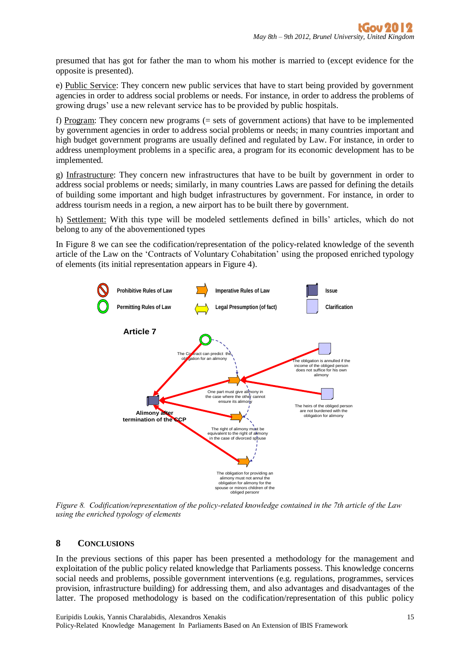presumed that has got for father the man to whom his mother is married to (except evidence for the opposite is presented).

e) Public Service: They concern new public services that have to start being provided by government agencies in order to address social problems or needs. For instance, in order to address the problems of growing drugs' use a new relevant service has to be provided by public hospitals.

f) Program: They concern new programs (= sets of government actions) that have to be implemented by government agencies in order to address social problems or needs; in many countries important and high budget government programs are usually defined and regulated by Law. For instance, in order to address unemployment problems in a specific area, a program for its economic development has to be implemented.

g) Infrastructure: They concern new infrastructures that have to be built by government in order to address social problems or needs; similarly, in many countries Laws are passed for defining the details of building some important and high budget infrastructures by government. For instance, in order to address tourism needs in a region, a new airport has to be built there by government.

h) Settlement: With this type will be modeled settlements defined in bills' articles, which do not belong to any of the abovementioned types

In Figure 8 we can see the codification/representation of the policy-related knowledge of the seventh article of the Law on the 'Contracts of Voluntary Cohabitation' using the proposed enriched typology of elements (its initial representation appears in Figure 4).



It is registered in the special *using the enriched typology of elements Figure* 8. Codification/representation of the policy-related knowledge contained in the 7th article of the Law

## **8 CONCLUSIONS**

In the previous sections of this paper has been presented a methodology for the management and exploitation of the public policy related knowledge that Parliaments possess. This knowledge concerns social needs and problems, possible government interventions (e.g. regulations, programmes, services provision, infrastructure building) for addressing them, and also advantages and disadvantages of the latter. The proposed methodology is based on the codification/representation of this public policy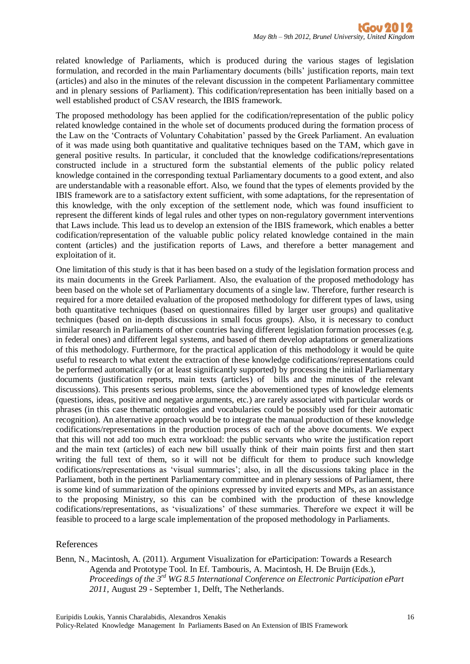related knowledge of Parliaments, which is produced during the various stages of legislation formulation, and recorded in the main Parliamentary documents (bills' justification reports, main text (articles) and also in the minutes of the relevant discussion in the competent Parliamentary committee and in plenary sessions of Parliament). This codification/representation has been initially based on a well established product of CSAV research, the IBIS framework.

The proposed methodology has been applied for the codification/representation of the public policy related knowledge contained in the whole set of documents produced during the formation process of the Law on the 'Contracts of Voluntary Cohabitation' passed by the Greek Parliament. An evaluation of it was made using both quantitative and qualitative techniques based on the TAM, which gave in general positive results. In particular, it concluded that the knowledge codifications/representations constructed include in a structured form the substantial elements of the public policy related knowledge contained in the corresponding textual Parliamentary documents to a good extent, and also are understandable with a reasonable effort. Also, we found that the types of elements provided by the IBIS framework are to a satisfactory extent sufficient, with some adaptations, for the representation of this knowledge, with the only exception of the settlement node, which was found insufficient to represent the different kinds of legal rules and other types on non-regulatory government interventions that Laws include. This lead us to develop an extension of the IBIS framework, which enables a better codification/representation of the valuable public policy related knowledge contained in the main content (articles) and the justification reports of Laws, and therefore a better management and exploitation of it.

One limitation of this study is that it has been based on a study of the legislation formation process and its main documents in the Greek Parliament. Also, the evaluation of the proposed methodology has been based on the whole set of Parliamentary documents of a single law. Therefore, further research is required for a more detailed evaluation of the proposed methodology for different types of laws, using both quantitative techniques (based on questionnaires filled by larger user groups) and qualitative techniques (based on in-depth discussions in small focus groups). Also, it is necessary to conduct similar research in Parliaments of other countries having different legislation formation processes (e.g. in federal ones) and different legal systems, and based of them develop adaptations or generalizations of this methodology. Furthermore, for the practical application of this methodology it would be quite useful to research to what extent the extraction of these knowledge codifications/representations could be performed automatically (or at least significantly supported) by processing the initial Parliamentary documents (justification reports, main texts (articles) of bills and the minutes of the relevant discussions). This presents serious problems, since the abovementioned types of knowledge elements (questions, ideas, positive and negative arguments, etc.) are rarely associated with particular words or phrases (in this case thematic ontologies and vocabularies could be possibly used for their automatic recognition). An alternative approach would be to integrate the manual production of these knowledge codifications/representations in the production process of each of the above documents. We expect that this will not add too much extra workload: the public servants who write the justification report and the main text (articles) of each new bill usually think of their main points first and then start writing the full text of them, so it will not be difficult for them to produce such knowledge codifications/representations as 'visual summaries'; also, in all the discussions taking place in the Parliament, both in the pertinent Parliamentary committee and in plenary sessions of Parliament, there is some kind of summarization of the opinions expressed by invited experts and MPs, as an assistance to the proposing Ministry, so this can be combined with the production of these knowledge codifications/representations, as 'visualizations' of these summaries. Therefore we expect it will be feasible to proceed to a large scale implementation of the proposed methodology in Parliaments.

#### References

Benn, N., Macintosh, A. (2011). Argument Visualization for eParticipation: Towards a Research Agenda and Prototype Tool. In Ef. Tambouris, A. Macintosh, H. De Bruijn (Eds.), *Proceedings of the 3rd WG 8.5 International Conference on Electronic Participation ePart 2011,* August 29 - September 1, Delft, The Netherlands.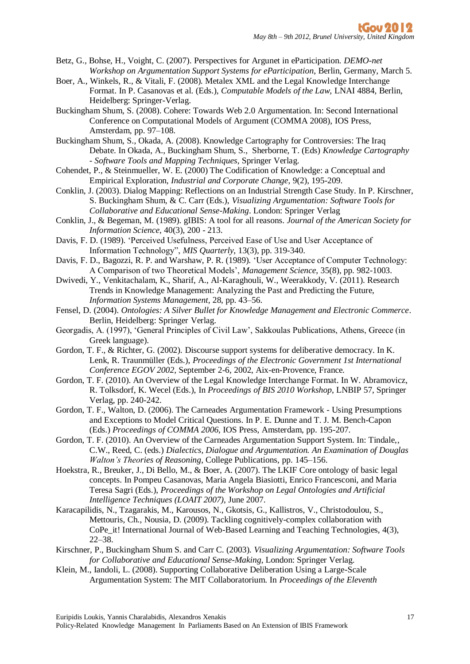- Betz, G., Bohse, H., Voight, C. (2007). Perspectives for Argunet in eParticipation. *DEMO-net Workshop on Argumentation Support Systems for eParticipation*, Berlin, Germany, March 5.
- Boer, A., Winkels, R., & Vitali, F. (2008). Metalex XML and the Legal Knowledge Interchange Format. In P. Casanovas et al. (Eds.), *Computable Models of the Law,* LNAI 4884, Berlin, Heidelberg: Springer-Verlag.
- Buckingham Shum, S. (2008). Cohere: Towards Web 2.0 Argumentation. In: Second International Conference on Computational Models of Argument (COMMA 2008), IOS Press, Amsterdam, pp. 97–108.

Buckingham Shum, S., Okada, A. (2008). Knowledge Cartography for Controversies: The Iraq Debate. In Okada, A., Buckingham Shum, S., Sherborne, T. (Eds) *Knowledge Cartography - Software Tools and Mapping Techniques*, Springer Verlag.

- Cohendet, P., & Steinmueller, W. E. (2000) The Codification of Knowledge: a Conceptual and Empirical Exploration, *Industrial and Corporate Change*, 9(2), 195-209.
- Conklin, J. (2003). Dialog Mapping: Reflections on an Industrial Strength Case Study. In P. Kirschner, S. Buckingham Shum, & C. Carr (Eds.), *Visualizing Argumentation: Software Tools for Collaborative and Educational Sense-Making*. London: Springer Verlag
- Conklin, J., & Begeman, M. (1989). gIBIS: A tool for all reasons. *Journal of the American Society for Information Science*, 40(3), 200 - 213.
- Davis, F. D. (1989). 'Perceived Usefulness, Perceived Ease of Use and User Acceptance of Information Technology", *MIS Quarterly*, 13(3), pp. 319-340.
- Davis, F. D., Bagozzi, R. P. and Warshaw, P. R. (1989). 'User Acceptance of Computer Technology: A Comparison of two Theoretical Models', *Management Science*, 35(8), pp. 982-1003.
- Dwivedi, Y., Venkitachalam, K., Sharif, A., Al-Karaghouli, W., Weerakkody, V. (2011). Research Trends in Knowledge Management: Analyzing the Past and Predicting the Future, *Information Systems Management,* 28, pp. 43–56.
- Fensel, D. (2004). *Ontologies: A Silver Bullet for Knowledge Management and Electronic Commerce*. Berlin, Heidelberg: Springer Verlag.
- Georgadis, A. (1997), 'General Principles of Civil Law', Sakkoulas Publications, Athens, Greece (in Greek language).
- Gordon, T. F., & Richter, G. (2002). Discourse support systems for deliberative democracy. In K. Lenk, R. Traunmüller (Eds.), *Proceedings of the Electronic Government 1st International Conference EGOV 2002,* September 2-6, 2002, Aix-en-Provence, France.
- Gordon, T. F. (2010). An Overview of the Legal Knowledge Interchange Format. In W. Abramovicz, R. Tolksdorf, K. Wecel (Eds.), In *Proceedings of BIS 2010 Workshop*, LNBIP 57, Springer Verlag, pp. 240-242.
- Gordon, T. F., Walton, D. (2006). The Carneades Argumentation Framework Using Presumptions and Exceptions to Model Critical Questions. In P. E. Dunne and T. J. M. Bench-Capon (Eds.) *Proceedings of COMMA 2006*, IOS Press, Amsterdam, pp. 195-207.
- Gordon, T. F. (2010). An Overview of the Carneades Argumentation Support System. In: Tindale,, C.W., Reed, C. (eds.) *Dialectics, Dialogue and Argumentation. An Examination of Douglas Walton's Theories of Reasoning*, College Publications, pp. 145–156.
- Hoekstra, R., Breuker, J., Di Bello, M., & Boer, A. (2007). The LKIF Core ontology of basic legal concepts. In Pompeu Casanovas, Maria Angela Biasiotti, Enrico Francesconi, and Maria Teresa Sagri (Eds.), *Proceedings of the Workshop on Legal Ontologies and Artificial Intelligence Techniques (LOAIT 2007)*, June 2007.
- Karacapilidis, N., Tzagarakis, M., Karousos, N., Gkotsis, G., Kallistros, V., Christodoulou, S., Mettouris, Ch., Nousia, D. (2009). Tackling cognitively-complex collaboration with CoPe\_it! International Journal of Web-Based Learning and Teaching Technologies, 4(3), 22–38.
- Kirschner, P., Buckingham Shum S. and Carr C. (2003). *Visualizing Argumentation: Software Tools for Collaborative and Educational Sense-Making*, London: Springer Verlag.
- Klein, M., Iandoli, L. (2008). Supporting Collaborative Deliberation Using a Large-Scale Argumentation System: The MIT Collaboratorium. In *Proceedings of the Eleventh*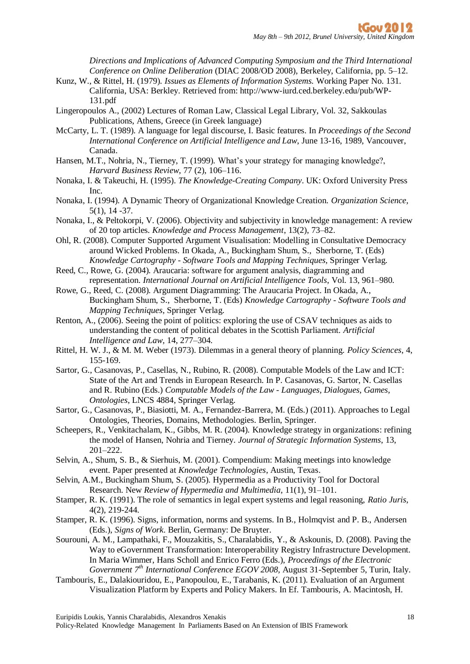*Directions and Implications of Advanced Computing Symposium and the Third International Conference on Online Deliberation* (DIAC 2008/OD 2008), Berkeley, California, pp. 5–12.

- Kunz, W., & Rittel, H. (1979). *Issues as Elements of Information Systems.* Working Paper No. 131. California, USA: Berkley. Retrieved from: http://www-iurd.ced.berkeley.edu/pub/WP-131.pdf
- Lingeropoulos A., (2002) Lectures of Roman Law, Classical Legal Library, Vol. 32, Sakkoulas Publications, Athens, Greece (in Greek language)
- McCarty, L. T. (1989). A language for legal discourse, I. Basic features. In *Proceedings of the Second International Conference on Artificial Intelligence and Law*, June 13-16, 1989, Vancouver, Canada.
- Hansen, M.T., Nohria, N., Tierney, T. (1999). What's your strategy for managing knowledge?, *Harvard Business Review*, 77 (2), 106–116.
- Nonaka, I. & Takeuchi, H. (1995). *The Knowledge-Creating Company*. UK: Oxford University Press Inc.
- Nonaka, I. (1994). A Dynamic Theory of Organizational Knowledge Creation. *Organization Science,* 5(1), 14 -37.
- Nonaka, I., & Peltokorpi, V. (2006). Objectivity and subjectivity in knowledge management: A review of 20 top articles. *Knowledge and Process Management*, 13(2), 73–82.
- Ohl, R. (2008). Computer Supported Argument Visualisation: Modelling in Consultative Democracy around Wicked Problems. In Okada, A., Buckingham Shum, S., Sherborne, T. (Eds) *Knowledge Cartography - Software Tools and Mapping Techniques,* Springer Verlag.
- Reed, C., Rowe, G. (2004). Araucaria: software for argument analysis, diagramming and representation. *International Journal on Artificial Intelligence Tools*, Vol. 13, 961–980.
- Rowe, G., Reed, C. (2008). Argument Diagramming: The Araucaria Project. In Okada, A., Buckingham Shum, S., Sherborne, T. (Eds) *Knowledge Cartography - Software Tools and Mapping Techniques*, Springer Verlag.
- Renton, A., (2006). Seeing the point of politics: exploring the use of CSAV techniques as aids to understanding the content of political debates in the Scottish Parliament. *Artificial Intelligence and Law*, 14, 277–304.
- Rittel, H. W. J., & M. M. Weber (1973). Dilemmas in a general theory of planning. *Policy Sciences*, 4, 155-169.
- Sartor, G., Casanovas, P., Casellas, N., Rubino, R. (2008). Computable Models of the Law and ICT: State of the Art and Trends in European Research. In P. Casanovas, G. Sartor, N. Casellas and R. Rubino (Eds.) *Computable Models of the Law - Languages, Dialogues, Games, Ontologies*, LNCS 4884, Springer Verlag.
- Sartor, G., Casanovas, P., Biasiotti, M. A., Fernandez-Barrera, M. (Eds.) (2011). Approaches to Legal Ontologies, Theories, Domains, Methodologies. Berlin, Springer.
- Scheepers, R., Venkitachalam, K., Gibbs, M. R. (2004). Knowledge strategy in organizations: refining the model of Hansen, Nohria and Tierney. *Journal of Strategic Information Systems*, 13, 201–222.
- Selvin, A., Shum, S. B., & Sierhuis, M. (2001). Compendium: Making meetings into knowledge event. Paper presented at *Knowledge Technologies*, Austin, Texas.
- Selvin, A.M., Buckingham Shum, S. (2005). Hypermedia as a Productivity Tool for Doctoral Research. New *Review of Hypermedia and Multimedia,* 11(1), 91–101.
- Stamper, R. K. (1991). The role of semantics in legal expert systems and legal reasoning, *Ratio Juris*, 4(2), 219-244.
- Stamper, R. K. (1996). Signs, information, norms and systems. In B., Holmqvist and P. B., Andersen (Eds.), *Signs of Work*. Berlin, Germany: De Bruyter.
- Sourouni, A. M., Lampathaki, F., Mouzakitis, S., Charalabidis, Y., & Askounis, D. (2008). Paving the Way to eGovernment Transformation: Interoperability Registry Infrastructure Development. In Maria Wimmer, Hans Scholl and Enrico Ferro (Eds.), *Proceedings of the Electronic Government 7th International Conference EGOV 2008,* August 31-September 5, Turin, Italy.
- Tambouris, E., Dalakiouridou, E., Panopoulou, E., Tarabanis, K. (2011). Evaluation of an Argument Visualization Platform by Experts and Policy Makers. In Ef. Tambouris, A. Macintosh, H.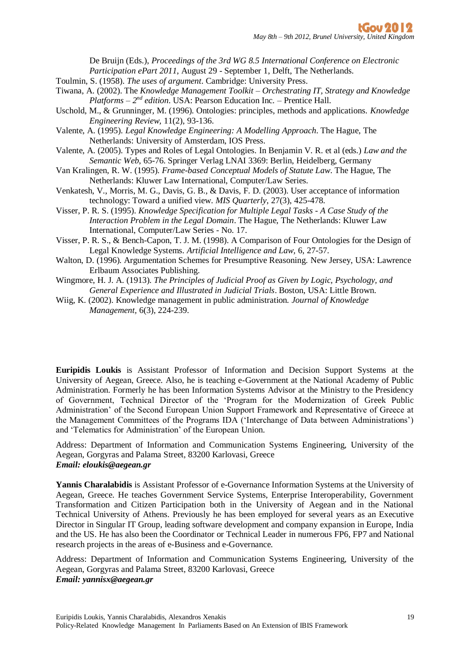De Bruijn (Eds.), *Proceedings of the 3rd WG 8.5 International Conference on Electronic Participation ePart 2011*, August 29 - September 1, Delft, The Netherlands.

Toulmin, S. (1958). *The uses of argument*. Cambridge: University Press.

- Tiwana, A. (2002). The *Knowledge Management Toolkit – Orchestrating IT, Strategy and Knowledge*  Platforms - 2<sup>nd</sup> edition. USA: Pearson Education Inc. - Prentice Hall.
- Uschold, M., & Grunninger, M. (1996). Ontologies: principles, methods and applications. *Knowledge Engineering Review,* 11(2), 93-136.
- Valente, A. (1995). *Legal Knowledge Engineering: A Modelling Approach*. The Hague, The Netherlands: University of Amsterdam, IOS Press.
- Valente, A. (2005). Types and Roles of Legal Ontologies. In Benjamin V. R. et al (eds.) *Law and the Semantic Web*, 65-76. Springer Verlag LNAI 3369: Berlin, Heidelberg, Germany
- Van Kralingen, R. W. (1995). *Frame-based Conceptual Models of Statute Law*. The Hague, The Netherlands: Kluwer Law International, Computer/Law Series.
- Venkatesh, V., Morris, M. G., Davis, G. B., & Davis, F. D. (2003). User acceptance of information technology: Toward a unified view. *MIS Quarterly*, 27(3), 425-478.
- Visser, P. R. S. (1995). *Knowledge Specification for Multiple Legal Tasks - A Case Study of the Interaction Problem in the Legal Domain*. The Hague, The Netherlands: Kluwer Law International, Computer/Law Series - No. 17.
- Visser, P. R. S., & Bench-Capon, T. J. M. (1998). A Comparison of Four Ontologies for the Design of Legal Knowledge Systems. *Artificial Intelligence and Law,* 6, 27-57.
- Walton, D. (1996). Argumentation Schemes for Presumptive Reasoning. New Jersey, USA: Lawrence Erlbaum Associates Publishing.
- Wingmore, H. J. A. (1913). *The Principles of Judicial Proof as Given by Logic, Psychology, and General Experience and Illustrated in Judicial Trials*. Boston, USA: Little Brown.
- Wiig, K. (2002). Knowledge management in public administration. *Journal of Knowledge Management,* 6(3), 224-239.

**Euripidis Loukis** is Assistant Professor of Information and Decision Support Systems at the University of Aegean, Greece. Also, he is teaching e-Government at the National Academy of Public Administration. Formerly he has been Information Systems Advisor at the Ministry to the Presidency of Government, Technical Director of the 'Program for the Modernization of Greek Public Administration' of the Second European Union Support Framework and Representative of Greece at the Management Committees of the Programs IDA ('Interchange of Data between Administrations') and 'Telematics for Administration' of the European Union.

Address: Department of Information and Communication Systems Engineering, University of the Aegean, Gorgyras and Palama Street, 83200 Karlovasi, Greece *Email: eloukis@aegean.gr*

**Yannis Charalabidis** is Assistant Professor of e-Governance Information Systems at the University of Aegean, Greece. He teaches Government Service Systems, Enterprise Interoperability, Government Transformation and Citizen Participation both in the University of Aegean and in the National Technical University of Athens. Previously he has been employed for several years as an Executive Director in Singular IT Group, leading software development and company expansion in Europe, India and the US. He has also been the Coordinator or Technical Leader in numerous FP6, FP7 and National research projects in the areas of e-Business and e-Governance.

Address: Department of Information and Communication Systems Engineering, University of the Aegean, Gorgyras and Palama Street, 83200 Karlovasi, Greece *Email: yannisx@aegean.gr*